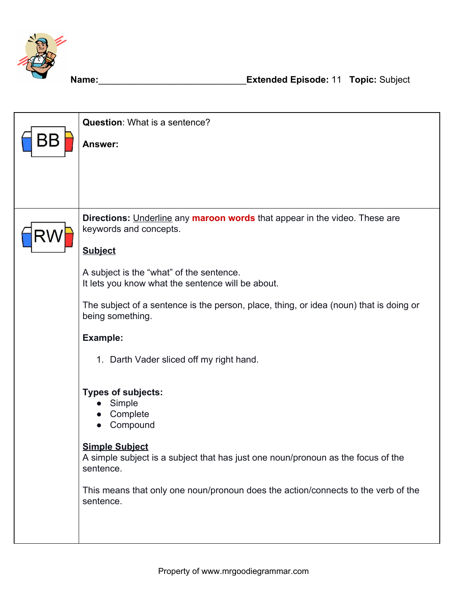

|    | <b>Question:</b> What is a sentence?                                                                                   |
|----|------------------------------------------------------------------------------------------------------------------------|
| BΒ | Answer:                                                                                                                |
|    |                                                                                                                        |
|    |                                                                                                                        |
|    |                                                                                                                        |
| R١ | Directions: Underline any maroon words that appear in the video. These are<br>keywords and concepts.                   |
|    | <b>Subject</b>                                                                                                         |
|    | A subject is the "what" of the sentence.<br>It lets you know what the sentence will be about.                          |
|    | The subject of a sentence is the person, place, thing, or idea (noun) that is doing or<br>being something.             |
|    | <b>Example:</b>                                                                                                        |
|    | 1. Darth Vader sliced off my right hand.                                                                               |
|    | <b>Types of subjects:</b><br>Simple<br>Complete<br>Compound                                                            |
|    | <b>Simple Subject</b><br>A simple subject is a subject that has just one noun/pronoun as the focus of the<br>sentence. |
|    | This means that only one noun/pronoun does the action/connects to the verb of the<br>sentence.                         |
|    |                                                                                                                        |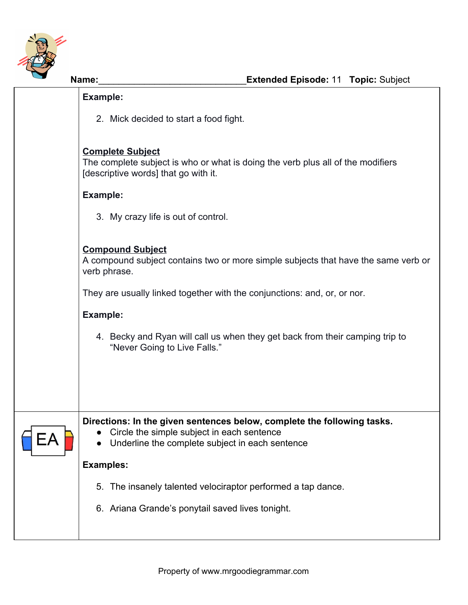

| Example:                                                                                                                                           |
|----------------------------------------------------------------------------------------------------------------------------------------------------|
| 2. Mick decided to start a food fight.                                                                                                             |
| <b>Complete Subject</b><br>The complete subject is who or what is doing the verb plus all of the modifiers<br>[descriptive words] that go with it. |
| Example:                                                                                                                                           |
| 3. My crazy life is out of control.                                                                                                                |
|                                                                                                                                                    |

## **Compound Subject**

A compound subject contains two or more simple subjects that have the same verb or verb phrase.

They are usually linked together with the conjunctions: and, or, or nor.

## **Example:**

4. Becky and Ryan will call us when they get back from their camping trip to "Never Going to Live Falls."

**Directions: In the given sentences below, complete the following tasks.**

- Circle the simple subject in each sentence
- Underline the complete subject in each sentence

## **Examples:**

- 5. The insanely talented velociraptor performed a tap dance.
- 6. Ariana Grande's ponytail saved lives tonight.